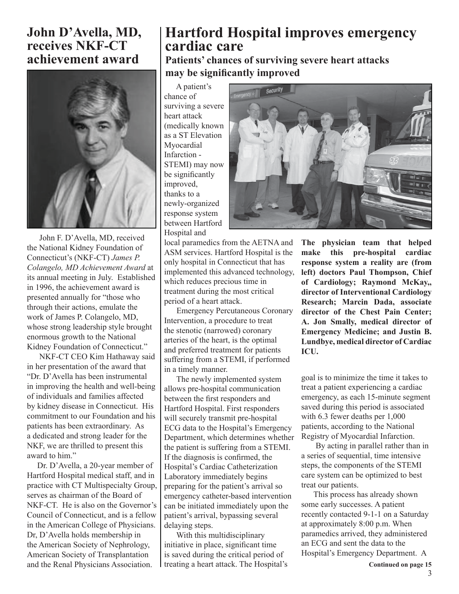## **Hartford Hospital improves emergency cardiac care**

**Patients' chances of surviving severe heart attacks** may be significantly improved

 A patient's chance of surviving a severe heart attack (medically known as a ST Elevation Myocardial Infarction - STEMI) may now be significantly improved, thanks to a newly-organized response system between Hartford Hospital and

local paramedics from the AETNA and ASM services. Hartford Hospital is the only hospital in Connecticut that has implemented this advanced technology, which reduces precious time in treatment during the most critical period of a heart attack.

 Emergency Percutaneous Coronary Intervention, a procedure to treat the stenotic (narrowed) coronary arteries of the heart, is the optimal and preferred treatment for patients suffering from a STEMI, if performed in a timely manner.

 The newly implemented system allows pre-hospital communication between the first responders and Hartford Hospital. First responders will securely transmit pre-hospital ECG data to the Hospital's Emergency Department, which determines whether the patient is suffering from a STEMI. If the diagnosis is confirmed, the Hospital's Cardiac Catheterization Laboratory immediately begins preparing for the patient's arrival so emergency catheter-based intervention can be initiated immediately upon the patient's arrival, bypassing several delaying steps.

treating a heart attack. The Hospital's **Continued on page 15**  With this multidisciplinary initiative in place, significant time is saved during the critical period of



**The physician team that helped make this pre-hospital cardiac response system a reality are (from left) doctors Paul Thompson, Chief of Cardiology; Raymond McKay,, director of Interventional Cardiology Research; Marcin Dada, associate director of the Chest Pain Center; A. Jon Smally, medical director of Emergency Medicine; and Justin B. Lundbye, medical director of Cardiac ICU.**

goal is to minimize the time it takes to treat a patient experiencing a cardiac emergency, as each 15-minute segment saved during this period is associated with 6.3 fewer deaths per 1,000 patients, according to the National Registry of Myocardial Infarction.

 By acting in parallel rather than in a series of sequential, time intensive steps, the components of the STEMI care system can be optimized to best treat our patients.

 This process has already shown some early successes. A patient recently contacted 9-1-1 on a Saturday at approximately 8:00 p.m. When paramedics arrived, they administered an ECG and sent the data to the Hospital's Emergency Department. A